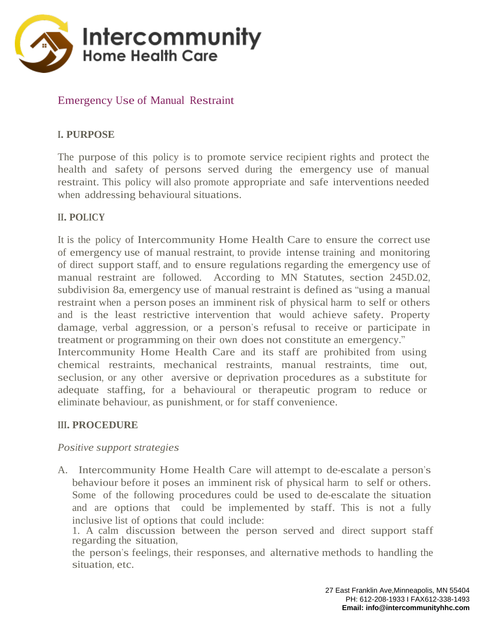

## Emergency Use of Manual Restraint

### **I. PURPOSE**

The purpose of this policy is to promote service recipient rights and protect the health and safety of persons served during the emergency use of manual restraint. This policy will also promote appropriate and safe interventions needed when addressing behavioural situations.

### **II. POLICY**

It is the policy of Intercommunity Home Health Care to ensure the correct use of emergency use of manual restraint, to provide intense training and monitoring of direct support staff, and to ensure regulations regarding the emergency use of manual restraint are followed. According to MN Statutes, section 245D.02, subdivision 8a, emergency use of manual restraint is defined as "using a manual restraint when a person poses an imminent risk of physical harm to self or others and is the least restrictive intervention that would achieve safety. Property damage, verbal aggression, or a person's refusal to receive or participate in treatment or programming on their own does not constitute an emergency." Intercommunity Home Health Care and its staff are prohibited from using

chemical restraints, mechanical restraints, manual restraints, time out, seclusion, or any other aversive or deprivation procedures as a substitute for adequate staffing, for a behavioural or therapeutic program to reduce or eliminate behaviour, as punishment, or for staff convenience.

### **III. PROCEDURE**

### *Positive support strategies*

A. Intercommunity Home Health Care will attempt to de-escalate a person's behaviour before it poses an imminent risk of physical harm to self or others. Some of the following procedures could be used to de-escalate the situation and are options that could be implemented by staff. This is not a fully inclusive list of options that could include:

1. A calm discussion between the person served and direct support staff regarding the situation,

the person's feelings, their responses, and alternative methods to handling the situation, etc.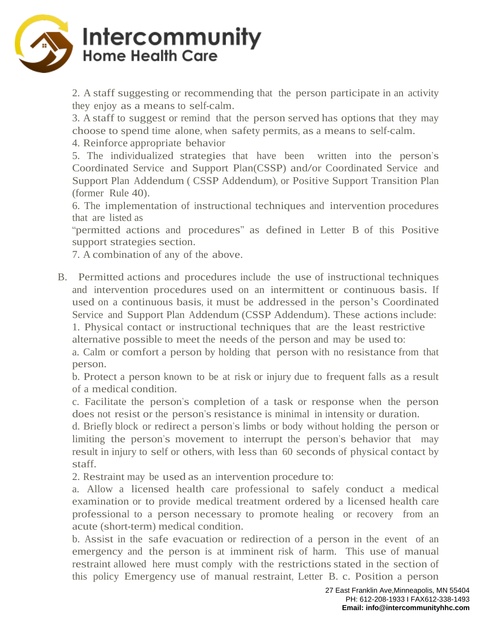

2. A staff suggesting or recommending that the person participate in an activity they enjoy as a means to self-calm.

3. A staff to suggest or remind that the person served has options that they may choose to spend time alone, when safety permits, as a means to self-calm.

4. Reinforce appropriate behavior

5. The individualized strategies that have been written into the person's Coordinated Service and Support Plan(CSSP) and/or Coordinated Service and Support Plan Addendum ( CSSP Addendum), or Positive Support Transition Plan (former Rule 40).

6. The implementation of instructional techniques and intervention procedures that are listed as

"permitted actions and procedures" as defined in Letter B of this Positive support strategies section.

7. A combination of any of the above.

B. Permitted actions and procedures include the use of instructional techniques and intervention procedures used on an intermittent or continuous basis. If used on a continuous basis, it must be addressed in the person's Coordinated Service and Support Plan Addendum (CSSP Addendum). These actions include:

1. Physical contact or instructional techniques that are the least restrictive alternative possible to meet the needs of the person and may be used to:

a. Calm or comfort a person by holding that person with no resistance from that person.

b. Protect a person known to be at risk or injury due to frequent falls as a result of a medical condition.

c. Facilitate the person's completion of a task or response when the person does not resist or the person's resistance is minimal in intensity or duration.

d. Briefly block or redirect a person's limbs or body without holding the person or limiting the person's movement to interrupt the person's behavior that may result in injury to self or others, with less than 60 seconds of physical contact by staff.

2. Restraint may be used as an intervention procedure to:

a. Allow a licensed health care professional to safely conduct a medical examination or to provide medical treatment ordered by a licensed health care professional to a person necessary to promote healing or recovery from an acute (short-term) medical condition.

b. Assist in the safe evacuation or redirection of a person in the event of an emergency and the person is at imminent risk of harm. This use of manual restraint allowed here must comply with the restrictions stated in the section of this policy Emergency use of manual restraint, Letter B. c. Position a person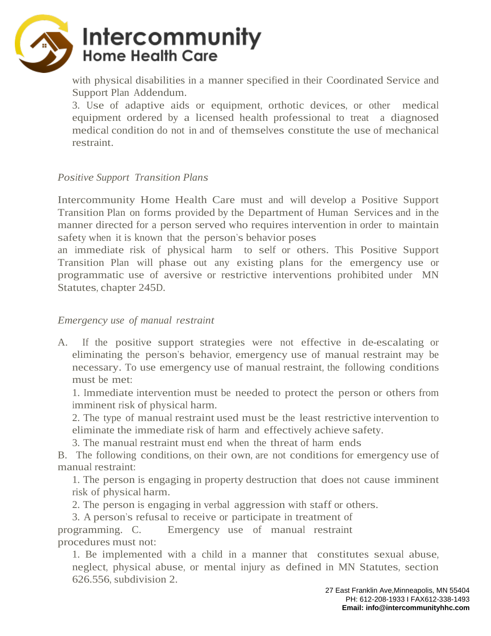

with physical disabilities in a manner specified in their Coordinated Service and Support Plan Addendum.

3. Use of adaptive aids or equipment, orthotic devices, or other medical equipment ordered by a licensed health professional to treat a diagnosed medical condition do not in and of themselves constitute the use of mechanical restraint.

#### *Positive Support Transition Plans*

Intercommunity Home Health Care must and will develop a Positive Support Transition Plan on forms provided by the Department of Human Services and in the manner directed for a person served who requires intervention in order to maintain safety when it is known that the person's behavior poses

an immediate risk of physical harm to self or others. This Positive Support Transition Plan will phase out any existing plans for the emergency use or programmatic use of aversive or restrictive interventions prohibited under MN Statutes, chapter 245D.

### *Emergency use of manual restraint*

A. If the positive support strategies were not effective in de-escalating or eliminating the person's behavior, emergency use of manual restraint may be necessary. To use emergency use of manual restraint, the following conditions must be met:

1. Immediate intervention must be needed to protect the person or others from imminent risk of physical harm.

2. The type of manual restraint used must be the least restrictive intervention to eliminate the immediate risk of harm and effectively achieve safety.

3. The manual restraint must end when the threat of harm ends

B. The following conditions, on their own, are not conditions for emergency use of manual restraint:

1. The person is engaging in property destruction that does not cause imminent risk of physical harm.

2. The person is engaging in verbal aggression with staff or others.

3. A person's refusal to receive or participate in treatment of programming. C. Emergency use of manual restraint procedures must not:

1. Be implemented with a child in a manner that constitutes sexual abuse, neglect, physical abuse, or mental injury as defined in MN Statutes, section 626.556, subdivision 2.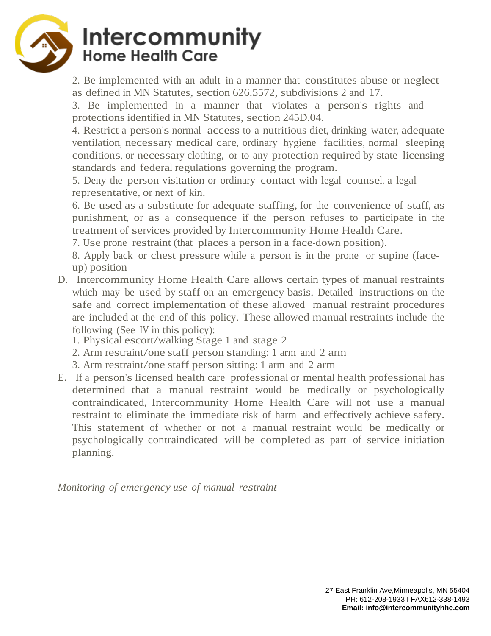

2. Be implemented with an adult in a manner that constitutes abuse or neglect as defined in MN Statutes, section 626.5572, subdivisions 2 and 17.

3. Be implemented in a manner that violates a person's rights and protections identified in MN Statutes, section 245D.04.

4. Restrict a person's normal access to a nutritious diet, drinking water, adequate ventilation, necessary medical care, ordinary hygiene facilities, normal sleeping conditions, or necessary clothing, or to any protection required by state licensing standards and federal regulations governing the program.

5. Deny the person visitation or ordinary contact with legal counsel, a legal representative, or next of kin.

6. Be used as a substitute for adequate staffing, for the convenience of staff, as punishment, or as a consequence if the person refuses to participate in the treatment of services provided by Intercommunity Home Health Care.

7. Use prone restraint (that places a person in a face-down position).

8. Apply back or chest pressure while a person is in the prone or supine (faceup) position

- D. Intercommunity Home Health Care allows certain types of manual restraints which may be used by staff on an emergency basis. Detailed instructions on the safe and correct implementation of these allowed manual restraint procedures are included at the end of this policy. These allowed manual restraints include the following (See IV in this policy):
	- 1. Physical escort/walking Stage <sup>1</sup> and stage 2
	- 2. Arm restraint/one staff person standing: <sup>1</sup> arm and <sup>2</sup> arm
	- 3. Arm restraint/one staff person sitting: <sup>1</sup> arm and <sup>2</sup> arm
- E. If a person's licensed health care professional or mental health professional has determined that a manual restraint would be medically or psychologically contraindicated, Intercommunity Home Health Care will not use a manual restraint to eliminate the immediate risk of harm and effectively achieve safety. This statement of whether or not a manual restraint would be medically or psychologically contraindicated will be completed as part of service initiation planning.

*Monitoring of emergency use of manual restraint*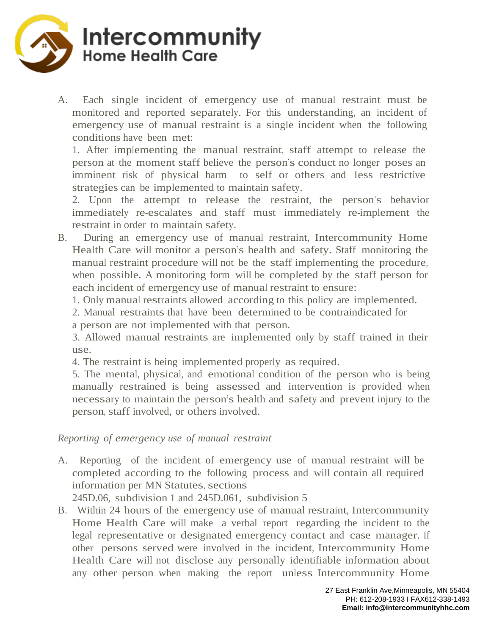

A. Each single incident of emergency use of manual restraint must be monitored and reported separately. For this understanding, an incident of emergency use of manual restraint is a single incident when the following conditions have been met:

1. After implementing the manual restraint, staff attempt to release the person at the moment staff believe the person's conduct no longer poses an imminent risk of physical harm to self or others and less restrictive strategies can be implemented to maintain safety.

2. Upon the attempt to release the restraint, the person's behavior immediately re-escalates and staff must immediately re-implement the restraint in order to maintain safety.

- B. During an emergency use of manual restraint, Intercommunity Home Health Care will monitor a person's health and safety. Staff monitoring the manual restraint procedure will not be the staff implementing the procedure, when possible. A monitoring form will be completed by the staff person for each incident of emergency use of manual restraint to ensure:
	- 1. Only manual restraints allowed according to this policy are implemented.
	- 2. Manual restraints that have been determined to be contraindicated for a person are not implemented with that person.

3. Allowed manual restraints are implemented only by staff trained in their use.

4. The restraint is being implemented properly as required.

5. The mental, physical, and emotional condition of the person who is being manually restrained is being assessed and intervention is provided when necessary to maintain the person's health and safety and prevent injury to the person, staff involved, or others involved.

### *Reporting of emergency use of manual restraint*

A. Reporting of the incident of emergency use of manual restraint will be completed according to the following process and will contain all required information per MN Statutes, sections

245D.06, subdivision 1 and 245D.061, subdivision 5

B. Within 24 hours of the emergency use of manual restraint, Intercommunity Home Health Care will make a verbal report regarding the incident to the legal representative or designated emergency contact and case manager. If other persons served were involved in the incident, Intercommunity Home Health Care will not disclose any personally identifiable information about any other person when making the report unless Intercommunity Home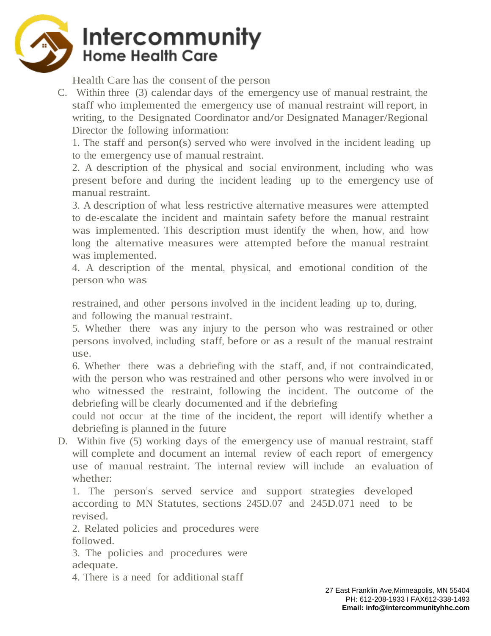

Health Care has the consent of the person

C. Within three (3) calendar days of the emergency use of manual restraint, the staff who implemented the emergency use of manual restraint will report, in writing, to the Designated Coordinator and/or Designated Manager/Regional Director the following information:

1. The staff and person(s) served who were involved in the incident leading up to the emergency use of manual restraint.

2. A description of the physical and social environment, including who was present before and during the incident leading up to the emergency use of manual restraint.

3. A description of what less restrictive alternative measures were attempted to de-escalate the incident and maintain safety before the manual restraint was implemented. This description must identify the when, how, and how long the alternative measures were attempted before the manual restraint was implemented.

4. A description of the mental, physical, and emotional condition of the person who was

restrained, and other persons involved in the incident leading up to, during, and following the manual restraint.

5. Whether there was any injury to the person who was restrained or other persons involved, including staff, before or as a result of the manual restraint use.

6. Whether there was a debriefing with the staff, and, if not contraindicated, with the person who was restrained and other persons who were involved in or who witnessed the restraint, following the incident. The outcome of the debriefing will be clearly documented and if the debriefing

could not occur at the time of the incident, the report will identify whether a debriefing is planned in the future

D. Within five (5) working days of the emergency use of manual restraint, staff will complete and document an internal review of each report of emergency use of manual restraint. The internal review will include an evaluation of whether:

1. The person's served service and support strategies developed according to MN Statutes, sections 245D.07 and 245D.071 need to be revised.

2. Related policies and procedures were followed.

3. The policies and procedures were adequate.

4. There is a need for additional staff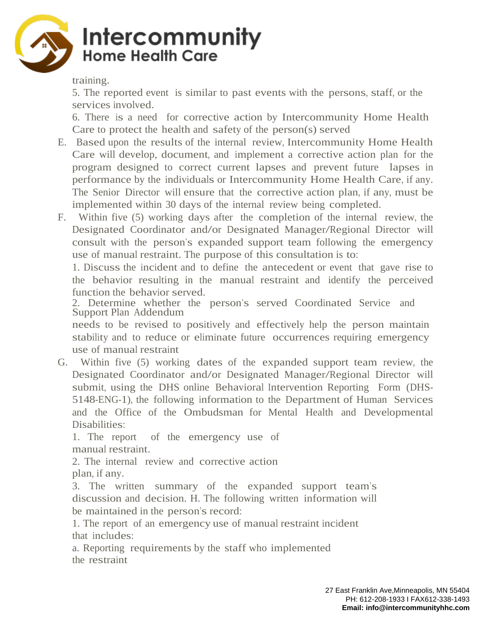

training.

5. The reported event is similar to past events with the persons, staff, or the services involved.

6. There is a need for corrective action by Intercommunity Home Health Care to protect the health and safety of the person(s) served

- E. Based upon the results of the internal review, Intercommunity Home Health Care will develop, document, and implement a corrective action plan for the program designed to correct current lapses and prevent future lapses in performance by the individuals or Intercommunity Home Health Care, if any. The Senior Director will ensure that the corrective action plan, if any, must be implemented within 30 days of the internal review being completed.
- F. Within five (5) working days after the completion of the internal review, the Designated Coordinator and/or Designated Manager/Regional Director will consult with the person's expanded support team following the emergency use of manual restraint. The purpose of this consultation is to:

1. Discuss the incident and to define the antecedent or event that gave rise to the behavior resulting in the manual restraint and identify the perceived function the behavior served.

2. Determine whether the person's served Coordinated Service and Support Plan Addendum

needs to be revised to positively and effectively help the person maintain stability and to reduce or eliminate future occurrences requiring emergency use of manual restraint

G. Within five (5) working dates of the expanded support team review, the Designated Coordinator and/or Designated Manager/Regional Director will submit, using the DHS online Behavioral Intervention Reporting Form (DHS-5148-ENG-1), the following information to the Department of Human Services and the Office of the Ombudsman for Mental Health and Developmental Disabilities:

1. The report of the emergency use of manual restraint.

2. The internal review and corrective action plan, if any.

3. The written summary of the expanded support team's discussion and decision. H. The following written information will be maintained in the person's record:

1. The report of an emergency use of manual restraint incident that includes:

a. Reporting requirements by the staff who implemented the restraint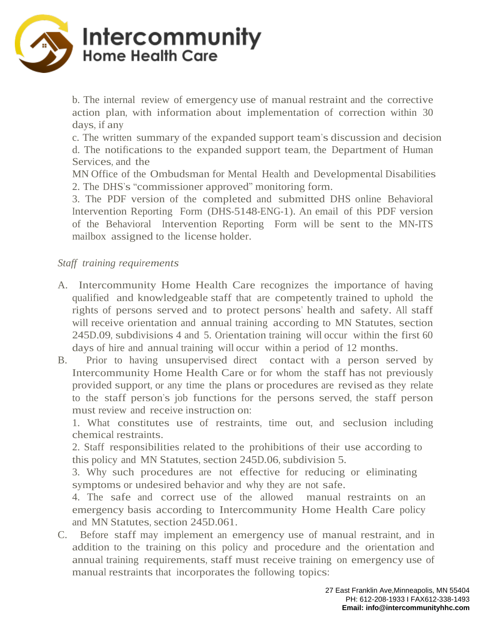

b. The internal review of emergency use of manual restraint and the corrective action plan, with information about implementation of correction within 30 days, if any

c. The written summary of the expanded support team's discussion and decision d. The notifications to the expanded support team, the Department of Human Services, and the

MN Office of the Ombudsman for Mental Health and Developmental Disabilities 2. The DHS's "commissioner approved" monitoring form.

3. The PDF version of the completed and submitted DHS online Behavioral Intervention Reporting Form (DHS-5148-ENG-1). An email of this PDF version of the Behavioral Intervention Reporting Form will be sent to the MN-ITS mailbox assigned to the license holder.

### *Staff training requirements*

- A. Intercommunity Home Health Care recognizes the importance of having qualified and knowledgeable staff that are competently trained to uphold the rights of persons served and to protect persons' health and safety. All staff will receive orientation and annual training according to MN Statutes, section 245D.09, subdivisions 4 and 5. Orientation training will occur within the first 60 days of hire and annual training will occur within a period of 12 months.
- B. Prior to having unsupervised direct contact with a person served by Intercommunity Home Health Care or for whom the staff has not previously provided support, or any time the plans or procedures are revised as they relate to the staff person's job functions for the persons served, the staff person must review and receive instruction on:

1. What constitutes use of restraints, time out, and seclusion including chemical restraints.

2. Staff responsibilities related to the prohibitions of their use according to this policy and MN Statutes, section 245D.06, subdivision 5.

3. Why such procedures are not effective for reducing or eliminating symptoms or undesired behavior and why they are not safe.

4. The safe and correct use of the allowed manual restraints on an emergency basis according to Intercommunity Home Health Care policy and MN Statutes, section 245D.061.

C. Before staff may implement an emergency use of manual restraint, and in addition to the training on this policy and procedure and the orientation and annual training requirements, staff must receive training on emergency use of manual restraints that incorporates the following topics: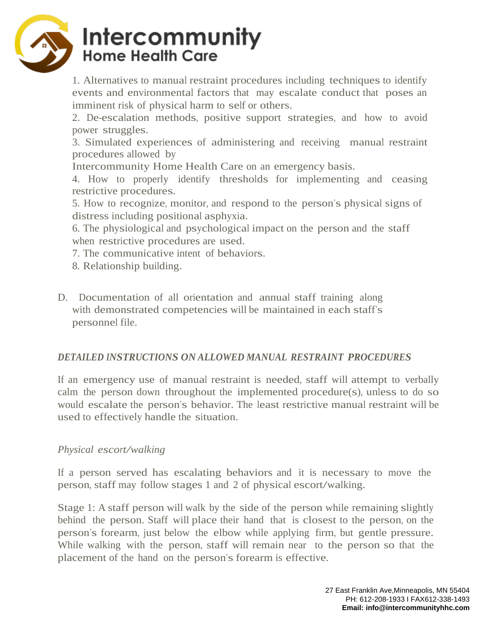

1. Alternatives to manual restraint procedures including techniques to identify events and environmental factors that may escalate conduct that poses an imminent risk of physical harm to self or others.

2. De-escalation methods, positive support strategies, and how to avoid power struggles.

3. Simulated experiences of administering and receiving manual restraint procedures allowed by

Intercommunity Home Health Care on an emergency basis.

4. How to properly identify thresholds for implementing and ceasing restrictive procedures.

5. How to recognize, monitor, and respond to the person's physical signs of distress including positional asphyxia.

6. The physiological and psychological impact on the person and the staff when restrictive procedures are used.

7. The communicative intent of behaviors.

- 8. Relationship building.
- D. Documentation of all orientation and annual staff training along with demonstrated competencies will be maintained in each staff's personnel file.

## *DETAILED INSTRUCTIONS ON ALLOWED MANUAL RESTRAINT PROCEDURES*

If an emergency use of manual restraint is needed, staff will attempt to verbally calm the person down throughout the implemented procedure(s), unless to do so would escalate the person's behavior. The least restrictive manual restraint will be used to effectively handle the situation.

### *Physical escort/walking*

If a person served has escalating behaviors and it is necessary to move the person, staff may follow stages <sup>1</sup> and <sup>2</sup> of physical escort/walking.

Stage 1: A staff person will walk by the side of the person while remaining slightly behind the person. Staff will place their hand that is closest to the person, on the person's forearm, just below the elbow while applying firm, but gentle pressure. While walking with the person, staff will remain near to the person so that the placement of the hand on the person's forearm is effective.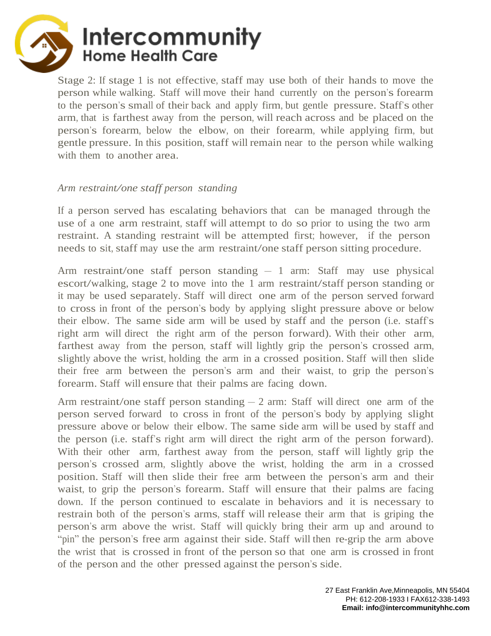

Stage 2: If stage 1 is not effective, staff may use both of their hands to move the person while walking. Staff will move their hand currently on the person's forearm to the person'ssmall of their back and apply firm, but gentle pressure. Staff's other arm, that is farthest away from the person, will reach across and be placed on the person's forearm, below the elbow, on their forearm, while applying firm, but gentle pressure. In this position, staff will remain near to the person while walking with them to another area.

#### *Arm restraint/one staff person standing*

If a person served has escalating behaviors that can be managed through the use of a one arm restraint, staff will attempt to do so prior to using the two arm restraint. A standing restraint will be attempted first; however, if the person needs to sit, staff may use the arm restraint/one staff person sitting procedure.

Arm restraint/one staff person standing – 1 arm: Staff may use physical escort/walking, stage <sup>2</sup> to move into the <sup>1</sup> arm restraint/staff person standing or it may be used separately. Staff will direct one arm of the person served forward to cross in front of the person's body by applying slight pressure above or below their elbow. The same side arm will be used by staff and the person (i.e. staff's right arm will direct the right arm of the person forward). With their other arm, farthest away from the person, staff will lightly grip the person's crossed arm, slightly above the wrist, holding the arm in a crossed position. Staff will then slide their free arm between the person's arm and their waist, to grip the person's forearm. Staff will ensure that their palms are facing down.

Arm restraint/one staff person standing  $-2$  arm: Staff will direct one arm of the person served forward to cross in front of the person's body by applying slight pressure above or below their elbow. The same side arm will be used by staff and the person (i.e. staff's right arm will direct the right arm of the person forward). With their other arm, farthest away from the person, staff will lightly grip the person's crossed arm, slightly above the wrist, holding the arm in a crossed position. Staff will then slide their free arm between the person's arm and their waist, to grip the person's forearm. Staff will ensure that their palms are facing down. If the person continued to escalate in behaviors and it is necessary to restrain both of the person's arms, staff will release their arm that is griping the person's arm above the wrist. Staff will quickly bring their arm up and around to "pin" the person's free arm against their side. Staff will then re-grip the arm above the wrist that is crossed in front of the person so that one arm is crossed in front of the person and the other pressed against the person's side.